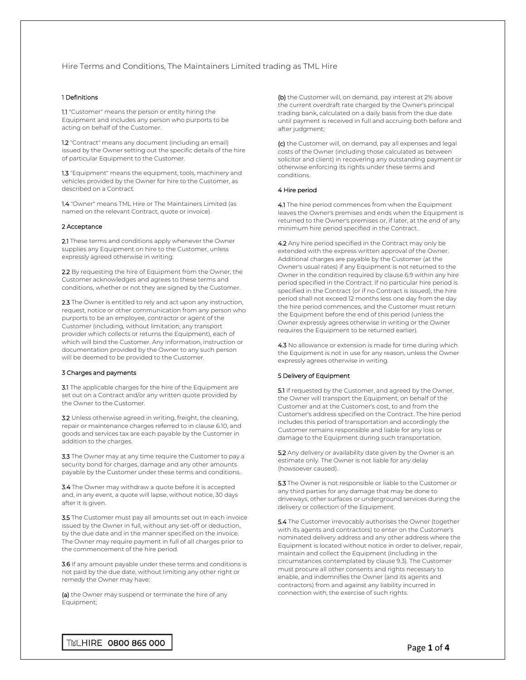# Hire Terms and Conditions, The Maintainers Limited trading as TML Hire

## 1 Definitions

1.1 "Customer" means the person or entity hiring the Equipment and includes any person who purports to be acting on behalf of the Customer.

1.2 "Contract" means any document (including an email) issued by the Owner setting out the specific details of the hire of particular Equipment to the Customer.

1.3 "Equipment" means the equipment, tools, machinery and vehicles provided by the Owner for hire to the Customer, as described on a Contract.

1.4 "Owner" means TML Hire or The Maintainers Limited (as named on the relevant Contract, quote or invoice).

## 2 Acceptance

2.1 These terms and conditions apply whenever the Owner supplies any Equipment on hire to the Customer, unless expressly agreed otherwise in writing.

2.2 By requesting the hire of Equipment from the Owner, the Customer acknowledges and agrees to these terms and conditions, whether or not they are signed by the Customer.

2.3 The Owner is entitled to rely and act upon any instruction, request, notice or other communication from any person who purports to be an employee, contractor or agent of the Customer (including, without limitation, any transport provider which collects or returns the Equipment), each of which will bind the Customer. Any information, instruction or documentation provided by the Owner to any such person will be deemed to be provided to the Customer.

## 3 Charges and payments

3.1 The applicable charges for the hire of the Equipment are set out on a Contract and/or any written quote provided by the Owner to the Customer.

3.2 Unless otherwise agreed in writing, freight, the cleaning, repair or maintenance charges referred to in clause 6.10, and goods and services tax are each payable by the Customer in addition to the charges.

3.3 The Owner may at any time require the Customer to pay a security bond for charges, damage and any other amounts payable by the Customer under these terms and conditions.

3.4 The Owner may withdraw a quote before it is accepted and, in any event, a quote will lapse, without notice, 30 days after it is given.

3.5 The Customer must pay all amounts set out in each invoice issued by the Owner in full, without any set-off or deduction, by the due date and in the manner specified on the invoice. The Owner may require payment in full of all charges prior to the commencement of the hire period.

3.6 If any amount payable under these terms and conditions is not paid by the due date, without limiting any other right or remedy the Owner may have:

(a) the Owner may suspend or terminate the hire of any Equipment;

(b) the Customer will, on demand, pay interest at 2% above the current overdraft rate charged by the Owner's principal trading bank, calculated on a daily basis from the due date until payment is received in full and accruing both before and after judgment;

(c) the Customer will, on demand, pay all expenses and legal costs of the Owner (including those calculated as between solicitor and client) in recovering any outstanding payment or otherwise enforcing its rights under these terms and conditions.

#### 4 Hire period

4.1 The hire period commences from when the Equipment leaves the Owner's premises and ends when the Equipment is returned to the Owner's premises or, if later, at the end of any minimum hire period specified in the Contract.

4.2 Any hire period specified in the Contract may only be extended with the express written approval of the Owner. Additional charges are payable by the Customer (at the Owner's usual rates) if any Equipment is not returned to the Owner in the condition required by clause 6.9 within any hire period specified in the Contract. If no particular hire period is specified in the Contract (or if no Contract is issued), the hire period shall not exceed 12 months less one day from the day the hire period commences, and the Customer must return the Equipment before the end of this period (unless the Owner expressly agrees otherwise in writing or the Owner requires the Equipment to be returned earlier).

4.3 No allowance or extension is made for time during which the Equipment is not in use for any reason, unless the Owner expressly agrees otherwise in writing.

### 5 Delivery of Equipment

5.1 If requested by the Customer, and agreed by the Owner, the Owner will transport the Equipment, on behalf of the Customer and at the Customer's cost, to and from the Customer's address specified on the Contract. The hire period includes this period of transportation and accordingly the Customer remains responsible and liable for any loss or damage to the Equipment during such transportation.

5.2 Any delivery or availability date given by the Owner is an estimate only. The Owner is not liable for any delay (howsoever caused).

5.3 The Owner is not responsible or liable to the Customer or any third parties for any damage that may be done to driveways, other surfaces or underground services during the delivery or collection of the Equipment.

5.4 The Customer irrevocably authorises the Owner (together with its agents and contractors) to enter on the Customer's nominated delivery address and any other address where the Equipment is located without notice in order to deliver, repair, maintain and collect the Equipment (including in the circumstances contemplated by clause 9.3). The Customer must procure all other consents and rights necessary to enable, and indemnifies the Owner (and its agents and contractors) from and against any liability incurred in connection with, the exercise of such rights.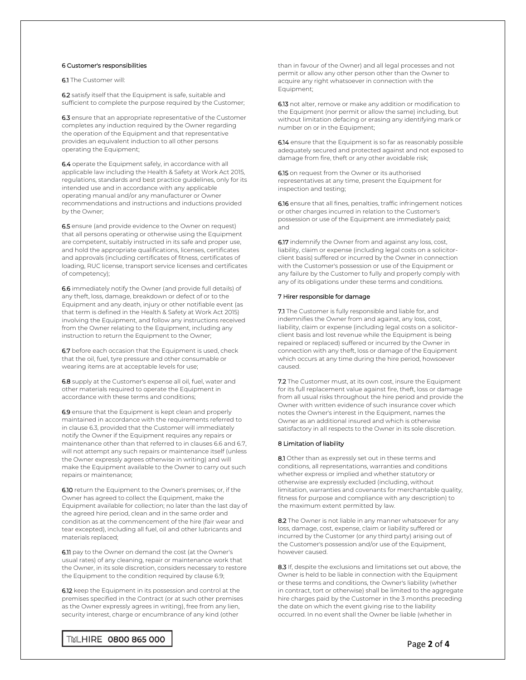## 6 Customer's responsibilities

6.1 The Customer will:

6.2 satisfy itself that the Equipment is safe, suitable and sufficient to complete the purpose required by the Customer;

6.3 ensure that an appropriate representative of the Customer completes any induction required by the Owner regarding the operation of the Equipment and that representative provides an equivalent induction to all other persons operating the Equipment;

6.4 operate the Equipment safely, in accordance with all applicable law including the Health & Safety at Work Act 2015, regulations, standards and best practice guidelines, only for its intended use and in accordance with any applicable operating manual and/or any manufacturer or Owner recommendations and instructions and inductions provided by the Owner;

6.5 ensure (and provide evidence to the Owner on request) that all persons operating or otherwise using the Equipment are competent, suitably instructed in its safe and proper use, and hold the appropriate qualifications, licenses, certificates and approvals (including certificates of fitness, certificates of loading, RUC license, transport service licenses and certificates of competency);

6.6 immediately notify the Owner (and provide full details) of any theft, loss, damage, breakdown or defect of or to the Equipment and any death, injury or other notifiable event (as that term is defined in the Health & Safety at Work Act 2015) involving the Equipment, and follow any instructions received from the Owner relating to the Equipment, including any instruction to return the Equipment to the Owner;

6.7 before each occasion that the Equipment is used, check that the oil, fuel, tyre pressure and other consumable or wearing items are at acceptable levels for use;

6.8 supply at the Customer's expense all oil, fuel, water and other materials required to operate the Equipment in accordance with these terms and conditions;

6.9 ensure that the Equipment is kept clean and properly maintained in accordance with the requirements referred to in clause 6.3, provided that the Customer will immediately notify the Owner if the Equipment requires any repairs or maintenance other than that referred to in clauses 6.6 and 6.7, will not attempt any such repairs or maintenance itself (unless the Owner expressly agrees otherwise in writing) and will make the Equipment available to the Owner to carry out such repairs or maintenance;

6.10 return the Equipment to the Owner's premises; or, if the Owner has agreed to collect the Equipment, make the Equipment available for collection; no later than the last day of the agreed hire period, clean and in the same order and condition as at the commencement of the hire (fair wear and tear excepted), including all fuel, oil and other lubricants and materials replaced;

6.11 pay to the Owner on demand the cost (at the Owner's usual rates) of any cleaning, repair or maintenance work that the Owner, in its sole discretion, considers necessary to restore the Equipment to the condition required by clause 6.9;

6.12 keep the Equipment in its possession and control at the premises specified in the Contract (or at such other premises as the Owner expressly agrees in writing), free from any lien, security interest, charge or encumbrance of any kind (other

than in favour of the Owner) and all legal processes and not permit or allow any other person other than the Owner to acquire any right whatsoever in connection with the Equipment;

6.13 not alter, remove or make any addition or modification to the Equipment (nor permit or allow the same) including, but without limitation defacing or erasing any identifying mark or number on or in the Equipment;

6.14 ensure that the Equipment is so far as reasonably possible adequately secured and protected against and not exposed to damage from fire, theft or any other avoidable risk;

6.15 on request from the Owner or its authorised representatives at any time, present the Equipment for inspection and testing;

6.16 ensure that all fines, penalties, traffic infringement notices or other charges incurred in relation to the Customer's possession or use of the Equipment are immediately paid; and

6.17 indemnify the Owner from and against any loss, cost, liability, claim or expense (including legal costs on a solicitorclient basis) suffered or incurred by the Owner in connection with the Customer's possession or use of the Equipment or any failure by the Customer to fully and properly comply with any of its obligations under these terms and conditions.

## 7 Hirer responsible for damage

7.1 The Customer is fully responsible and liable for, and indemnifies the Owner from and against, any loss, cost, liability, claim or expense (including legal costs on a solicitorclient basis and lost revenue while the Equipment is being repaired or replaced) suffered or incurred by the Owner in connection with any theft, loss or damage of the Equipment which occurs at any time during the hire period, howsoever caused.

7.2 The Customer must, at its own cost, insure the Equipment for its full replacement value against fire, theft, loss or damage from all usual risks throughout the hire period and provide the Owner with written evidence of such insurance cover which notes the Owner's interest in the Equipment, names the Owner as an additional insured and which is otherwise satisfactory in all respects to the Owner in its sole discretion.

#### 8 Limitation of liability

8.1 Other than as expressly set out in these terms and conditions, all representations, warranties and conditions whether express or implied and whether statutory or otherwise are expressly excluded (including, without limitation, warranties and covenants for merchantable quality, fitness for purpose and compliance with any description) to the maximum extent permitted by law.

8.2 The Owner is not liable in any manner whatsoever for any loss, damage, cost, expense, claim or liability suffered or incurred by the Customer (or any third party) arising out of the Customer's possession and/or use of the Equipment, however caused.

8.3 If, despite the exclusions and limitations set out above, the Owner is held to be liable in connection with the Equipment or these terms and conditions, the Owner's liability (whether in contract, tort or otherwise) shall be limited to the aggregate hire charges paid by the Customer in the 3 months preceding the date on which the event giving rise to the liability occurred. In no event shall the Owner be liable (whether in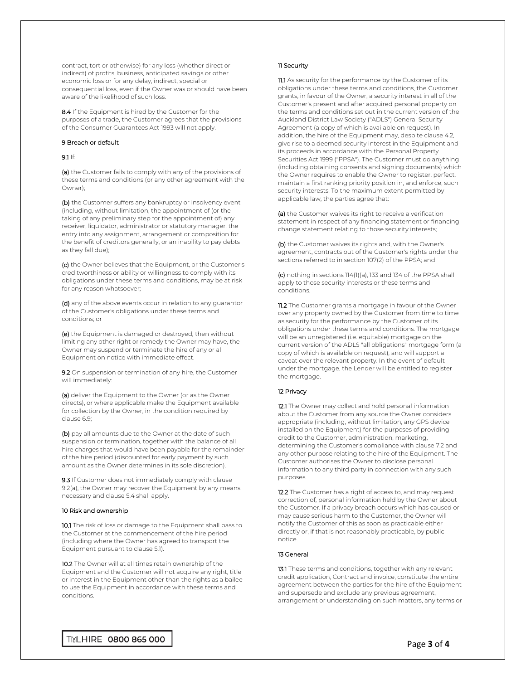contract, tort or otherwise) for any loss (whether direct or indirect) of profits, business, anticipated savings or other economic loss or for any delay, indirect, special or consequential loss, even if the Owner was or should have been aware of the likelihood of such loss.

8.4 If the Equipment is hired by the Customer for the purposes of a trade, the Customer agrees that the provisions of the Consumer Guarantees Act 1993 will not apply.

### 9 Breach or default

### 9.1 If:

(a) the Customer fails to comply with any of the provisions of these terms and conditions (or any other agreement with the Owner);

(b) the Customer suffers any bankruptcy or insolvency event (including, without limitation, the appointment of (or the taking of any preliminary step for the appointment of) any receiver, liquidator, administrator or statutory manager, the entry into any assignment, arrangement or composition for the benefit of creditors generally, or an inability to pay debts as they fall due);

(c) the Owner believes that the Equipment, or the Customer's creditworthiness or ability or willingness to comply with its obligations under these terms and conditions, may be at risk for any reason whatsoever;

(d) any of the above events occur in relation to any guarantor of the Customer's obligations under these terms and conditions; or

(e) the Equipment is damaged or destroyed, then without limiting any other right or remedy the Owner may have, the Owner may suspend or terminate the hire of any or all Equipment on notice with immediate effect.

9.2 On suspension or termination of any hire, the Customer will immediately:

(a) deliver the Equipment to the Owner (or as the Owner directs), or where applicable make the Equipment available for collection by the Owner, in the condition required by clause 6.9;

(b) pay all amounts due to the Owner at the date of such suspension or termination, together with the balance of all hire charges that would have been payable for the remainder of the hire period (discounted for early payment by such amount as the Owner determines in its sole discretion).

9.3 If Customer does not immediately comply with clause 9.2(a), the Owner may recover the Equipment by any means necessary and clause 5.4 shall apply.

## 10 Risk and ownership

10.1 The risk of loss or damage to the Equipment shall pass to the Customer at the commencement of the hire period (including where the Owner has agreed to transport the Equipment pursuant to clause 5.1).

10.2 The Owner will at all times retain ownership of the Equipment and the Customer will not acquire any right, title or interest in the Equipment other than the rights as a bailee to use the Equipment in accordance with these terms and conditions.

## 11 Security

11.1 As security for the performance by the Customer of its obligations under these terms and conditions, the Customer grants, in favour of the Owner, a security interest in all of the Customer's present and after acquired personal property on the terms and conditions set out in the current version of the Auckland District Law Society ("ADLS") General Security Agreement (a copy of which is available on request). In addition, the hire of the Equipment may, despite clause 4.2, give rise to a deemed security interest in the Equipment and its proceeds in accordance with the Personal Property Securities Act 1999 ("PPSA"). The Customer must do anything (including obtaining consents and signing documents) which the Owner requires to enable the Owner to register, perfect, maintain a first ranking priority position in, and enforce, such security interests. To the maximum extent permitted by applicable law, the parties agree that:

(a) the Customer waives its right to receive a verification statement in respect of any financing statement or financing change statement relating to those security interests;

(b) the Customer waives its rights and, with the Owner's agreement, contracts out of the Customer's rights under the sections referred to in section 107(2) of the PPSA; and

(c) nothing in sections 114(1)(a), 133 and 134 of the PPSA shall apply to those security interests or these terms and conditions.

11.2 The Customer grants a mortgage in favour of the Owner over any property owned by the Customer from time to time as security for the performance by the Customer of its obligations under these terms and conditions. The mortgage will be an unregistered (i.e. equitable) mortgage on the current version of the ADLS "all obligations" mortgage form (a copy of which is available on request), and will support a caveat over the relevant property. In the event of default under the mortgage, the Lender will be entitled to register the mortgage.

## 12 Privacy

12.1 The Owner may collect and hold personal information about the Customer from any source the Owner considers appropriate (including, without limitation, any GPS device installed on the Equipment) for the purposes of providing credit to the Customer, administration, marketing, determining the Customer's compliance with clause 7.2 and any other purpose relating to the hire of the Equipment. The Customer authorises the Owner to disclose personal information to any third party in connection with any such purposes.

12.2 The Customer has a right of access to, and may request correction of, personal information held by the Owner about the Customer. If a privacy breach occurs which has caused or may cause serious harm to the Customer, the Owner will notify the Customer of this as soon as practicable either directly or, if that is not reasonably practicable, by public notice.

## 13 General

13.1 These terms and conditions, together with any relevant credit application, Contract and invoice, constitute the entire agreement between the parties for the hire of the Equipment and supersede and exclude any previous agreement, arrangement or understanding on such matters, any terms or